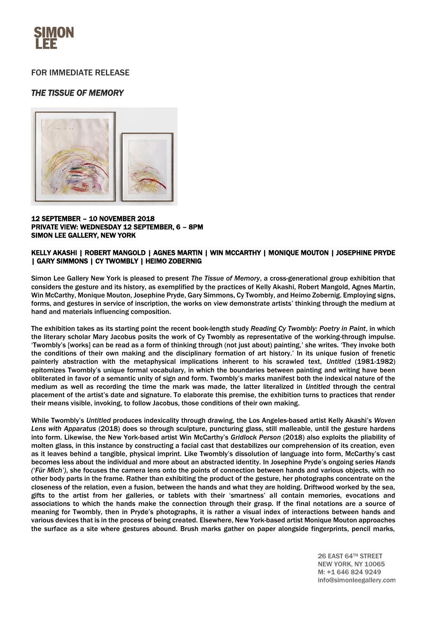

## FOR IMMEDIATE RELEASE

# *THE TISSUE OF MEMORY*



#### 12 SEPTEMBER – 10 NOVEMBER 2018 PRIVATE VIEW: WEDNESDAY 12 SEPTEMBER, 6 – 8PM SIMON LEE GALLERY, NEW YORK

### KELLY AKASHI | ROBERT MANGOLD | AGNES MARTIN | WIN MCCARTHY | MONIQUE MOUTON | JOSEPHINE PRYDE | GARY SIMMONS | CY TWOMBLY | HEIMO ZOBERNIG

Simon Lee Gallery New York is pleased to present *The Tissue of Memory*, a cross-generational group exhibition that considers the gesture and its history, as exemplified by the practices of Kelly Akashi, Robert Mangold, Agnes Martin, Win McCarthy, Monique Mouton, Josephine Pryde, Gary Simmons, Cy Twombly, and Heimo Zobernig. Employing signs, forms, and gestures in service of inscription, the works on view demonstrate artists' thinking through the medium at hand and materials influencing composition.

The exhibition takes as its starting point the recent book-length study *Reading Cy Twombly: Poetry in Paint*, in which the literary scholar Mary Jacobus posits the work of Cy Twombly as representative of the working-through impulse. 'Twombly's [works] can be read as a form of thinking through (not just about) painting,' she writes. 'They invoke both the conditions of their own making and the disciplinary formation of art history.' In its unique fusion of frenetic painterly abstraction with the metaphysical implications inherent to his scrawled text, *Untitled* (1981-1982) epitomizes Twombly's unique formal vocabulary, in which the boundaries between painting and writing have been obliterated in favor of a semantic unity of sign and form. Twombly's marks manifest both the indexical nature of the medium as well as recording the time the mark was made, the latter literalized in *Untitled* through the central placement of the artist's date and signature. To elaborate this premise, the exhibition turns to practices that render their means visible, invoking, to follow Jacobus, those conditions of their own making.

While Twombly's *Untitled* produces indexicality through drawing, the Los Angeles-based artist Kelly Akashi's *Woven Lens with Apparatus* (2018) does so through sculpture, puncturing glass, still malleable, until the gesture hardens into form. Likewise, the New York-based artist Win McCarthy's *Gridlock Person* (2018) also exploits the pliability of molten glass, in this instance by constructing a facial cast that destabilizes our comprehension of its creation, even as it leaves behind a tangible, physical imprint. Like Twombly's dissolution of language into form, McCarthy's cast becomes less about the individual and more about an abstracted identity. In Josephine Pryde's ongoing series *Hands ('Für Mich')*, she focuses the camera lens onto the points of connection between hands and various objects, with no other body parts in the frame. Rather than exhibiting the product of the gesture, her photographs concentrate on the closeness of the relation, even a fusion, between the hands and what they are holding. Driftwood worked by the sea, gifts to the artist from her galleries, or tablets with their 'smartness' all contain memories, evocations and associations to which the hands make the connection through their grasp. If the final notations are a source of meaning for Twombly, then in Pryde's photographs, it is rather a visual index of interactions between hands and various devices that is in the process of being created. Elsewhere, New York-based artist Monique Mouton approaches the surface as a site where gestures abound. Brush marks gather on paper alongside fingerprints, pencil marks,

> 26 EAST 64TH STREET **NEW YORK, NY 10065** M: +1 646 824 9249 info@simonleegallery.com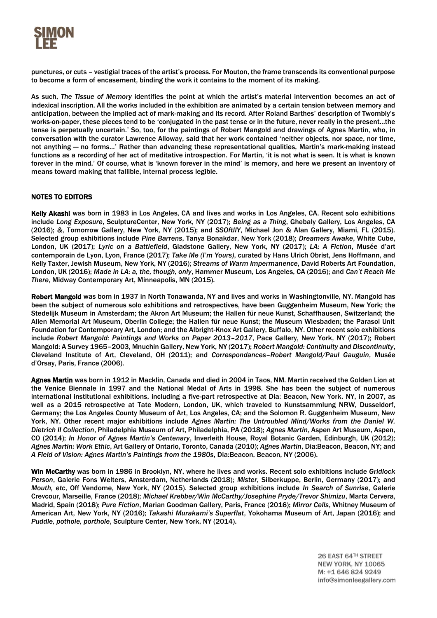

punctures, or cuts – vestigial traces of the artist's process. For Mouton, the frame transcends its conventional purpose to become a form of encasement, binding the work it contains to the moment of its making.

As such, *The Tissue of Memory* identifies the point at which the artist's material intervention becomes an act of indexical inscription. All the works included in the exhibition are animated by a certain tension between memory and anticipation, between the implied act of mark-making and its record. After Roland Barthes' description of Twombly's works-on-paper, these pieces tend to be 'conjugated in the past tense or in the future, never really in the present…the tense is perpetually uncertain.' So, too, for the paintings of Robert Mangold and drawings of Agnes Martin, who, in conversation with the curator Lawrence Alloway, said that her work contained 'neither objects, nor space, nor time, not anything — no forms…' Rather than advancing these representational qualities, Martin's mark-making instead functions as a recording of her act of meditative introspection. For Martin, 'it is not what is seen. It is what is known forever in the mind.' Of course, what is 'known forever in the mind' is memory, and here we present an inventory of means toward making that fallible, internal process legible.

### NOTES TO EDITORS

Kelly Akashi was born in 1983 in Los Angeles, CA and lives and works in Los Angeles, CA. Recent solo exhibitions include *Long Exposure*, SculptureCenter, New York, NY (2017); *Being as a Thing*, Ghebaly Gallery, Los Angeles, CA (2016); *&*, Tomorrow Gallery, New York, NY (2015); and *SSOftllY*, Michael Jon & Alan Gallery, Miami, FL (2015). Selected group exhibitions include *Pine Barrens*, Tanya Bonakdar, New York (2018); *Dreamers Awake*, White Cube, London, UK (2017); *Lyric on a Battlefield*, Gladstone Gallery, New York, NY (2017); *LA: A Fiction*, Musée d'art contemporain de Lyon, Lyon, France (2017); *Take Me (I'm Yours)*, curated by Hans Ulrich Obrist, Jens Hoffmann, and Kelly Taxter, Jewish Museum, New York, NY (2016); *Streams of Warm Impermanence*, David Roberts Art Foundation, London, UK (2016); *Made in LA: a, the, though, only*, Hammer Museum, Los Angeles, CA (2016); and *Can't Reach Me There*, Midway Contemporary Art, Minneapolis, MN (2015).

Robert Mangold was born in 1937 in North Tonawanda, NY and lives and works in Washingtonville, NY. Mangold has been the subject of numerous solo exhibitions and retrospectives, have been Guggenheim Museum, New York; the Stedelijk Museum in Amsterdam; the Akron Art Museum; the Hallen für neue Kunst, Schaffhausen, Switzerland; the Allen Memorial Art Museum, Oberlin College; the Hallen für neue Kunst; the Museum Wiesbaden; the Parasol Unit Foundation for Contemporary Art, London; and the Albright-Knox Art Gallery, Buffalo, NY. Other recent solo exhibitions include *Robert Mangold: Paintings and Works on Paper 2013–2017*, Pace Gallery, New York, NY (2017); Robert Mangold: A Survey 1965–2003, Mnuchin Gallery, New York, NY (2017); *Robert Mangold: Continuity and Discontinuity*, Cleveland Institute of Art, Cleveland, OH (2011); and *Correspondances–Robert Mangold/Paul Gauguin*, Musée d'Orsay, Paris, France (2006).

Agnes Martin was born in 1912 in Macklin, Canada and died in 2004 in Taos, NM. Martin received the Golden Lion at the Venice Biennale in 1997 and the National Medal of Arts in 1998. She has been the subject of numerous international institutional exhibitions, including a five-part retrospective at Dia: Beacon, New York. NY, in 2007, as well as a 2015 retrospective at Tate Modern, London, UK, which traveled to Kunstsammlung NRW, Dusseldorf, Germany; the Los Angeles County Museum of Art, Los Angeles, CA; and the Solomon R. Guggenheim Museum, New York, NY. Other recent major exhibitions include *Agnes Martin: The Untroubled Mind/Works from the Daniel W. Dietrich II Collection*, Philadelphia Museum of Art, Philadelphia, PA (2018); *Agnes Martin*, Aspen Art Museum, Aspen, CO (2014); *In Honor of Agnes Martin's Centenary*, Inverleith House, Royal Botanic Garden, Edinburgh, UK (2012); *Agnes Martin: Work Ethic*, Art Gallery of Ontario, Toronto, Canada (2010); *Agnes Martin*, Dia:Beacon, Beacon, NY; and *A Field of Vision: Agnes Martin's Paintings from the 1980s*, Dia:Beacon, Beacon, NY (2006).

Win McCarthy was born in 1986 in Brooklyn, NY, where he lives and works. Recent solo exhibitions include *Gridlock Person*, Galerie Fons Welters, Amsterdam, Netherlands (2018); *Mister*, Silberkuppe, Berlin, Germany (2017); and *Mouth, etc*, Off Vendome, New York, NY (2015). Selected group exhibitions include *In Search of Sunrise*, Galerie Crevcour, Marseille, France (2018); *Michael Krebber/Win McCarthy/Josephine Pryde/Trevor Shimizu*, Marta Cervera, Madrid, Spain (2018); *Pure Fiction*, Marian Goodman Gallery, Paris, France (2016); *Mirror Cells*, Whitney Museum of American Art, New York, NY (2016); *Takashi Murakami's Superflat*, Yokohama Museum of Art, Japan (2016); and *Puddle, pothole, porthole*, Sculpture Center, New York, NY (2014).

> 26 EAST 64TH STREET **NEW YORK, NY 10065** M: +1 646 824 9249 info@simonleegallery.com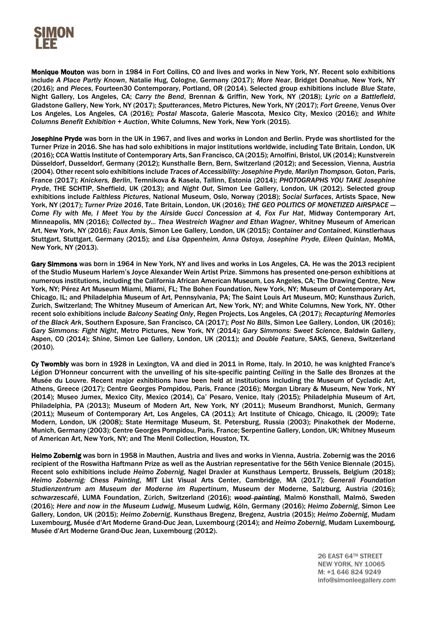

Monique Mouton was born in 1984 in Fort Collins, CO and lives and works in New York, NY. Recent solo exhibitions include *A Place Partly Known*, Natalie Hug, Cologne, Germany (2017); *More Near*, Bridget Donahue, New York, NY (2016); and *Pieces*, Fourteen30 Contemporary, Portland, OR (2014). Selected group exhibitions include *Blue State*, Night Gallery, Los Angeles, CA; *Carry the Bend*, Brennan & Griffin, New York, NY (2018); *Lyric on a Battlefield*, Gladstone Gallery, New York, NY (2017); *Sputterances*, Metro Pictures, New York, NY (2017); *Fort Greene*, Venus Over Los Angeles, Los Angeles, CA (2016); *Postal Mascota*, Galerie Mascota, Mexico City, Mexico (2016); and *White Columns Benefit Exhibition + Auction*, White Columns, New York, New York (2015).

Josephine Pryde was born in the UK in 1967, and lives and works in London and Berlin. Pryde was shortlisted for the Turner Prize in 2016. She has had solo exhibitions in major institutions worldwide, including Tate Britain, London, UK (2016); CCA Wattis Institute of Contemporary Arts, San Francisco, CA (2015); Arnolfini, Bristol, UK (2014); Kunstverein Düsseldorf, Dusseldorf, Germany (2012); Kunsthalle Bern, Bern, Switzerland (2012); and Secession, Vienna, Austria (2004). Other recent solo exhibitions include *Traces of Accessibility: Josephine Pryde, Marilyn Thompson,* Goton, Paris, France (2017); *Knickers, Berlin*, Temnikova & Kasela, Tallinn, Estonia (2014); *PHOTOGRAPHS YOU TAKE Josephine Pryde*, THE SCHTIP, Sheffield, UK (2013); and *Night Out*, Simon Lee Gallery, London, UK (2012). Selected group exhibitions include *Faithless Pictures*, National Museum, Oslo, Norway (2018); *Social Surfaces*, Artists Space, New York, NY (2017); *Turner Prize 2016*, Tate Britain, London, UK (2016); *THE GEO POLITICS OF MONETIZED AIRSPACE — Come Fly with Me, I Meet You by the Airside Gucci Concession at 4, Fox Fur Hat*, Midway Contemporary Art, Minneapolis, MN (2016); *Collected by... Thea Westreich Wagner and Ethan Wagner*, Whitney Museum of American Art, New York, NY (2016); *Faux Amis*, Simon Lee Gallery, London, UK (2015); *Container and Contained*, Künstlerhaus Stuttgart, Stuttgart, Germany (2015); and *Lisa Oppenheim, Anna Ostoya, Josephine Pryde, Eileen Quinlan*, MoMA, New York, NY (2013).

Gary Simmons was born in 1964 in New York, NY and lives and works in Los Angeles, CA. He was the 2013 recipient of the Studio Museum Harlem's Joyce Alexander Wein Artist Prize. Simmons has presented one-person exhibitions at numerous institutions, including the California African American Museum, Los Angeles, CA; The Drawing Centre, New York, NY; Pérez Art Museum Miami, Miami, FL; The Bohen Foundation, New York, NY; Museum of Contemporary Art, Chicago, IL; and Philadelphia Museum of Art, Pennsylvania, PA; The Saint Louis Art Museum, MO; Kunsthaus Zurich, Zurich, Switzerland; The Whitney Museum of American Art, New York, NY; and White Columns, New York, NY. Other recent solo exhibitions include *Balcony Seating Only*, Regen Projects, Los Angeles, CA (2017); *Recapturing Memories of the Black Ark*, Southern Exposure, San Francisco, CA (2017); *Post No Bills*, Simon Lee Gallery, London, UK (2016); *Gary Simmons: Fight Night*, Metro Pictures, New York, NY (2014); *Gary Simmons: Sweet Science*, Baldwin Gallery, Aspen, CO (2014); *Shine*, Simon Lee Gallery, London, UK (2011); and *Double Feature*, SAKS, Geneva, Switzerland (2010).

Cy Twombly was born in 1928 in Lexington, VA and died in 2011 in Rome, Italy. In 2010, he was knighted France's Légion D'Honneur concurrent with the unveiling of his site-specific painting *Ceiling* in the Salle des Bronzes at the Musée du Louvre. Recent major exhibitions have been held at institutions including the Museum of Cycladic Art, Athens, Greece (2017); Centre Georges Pompidou, Paris, France (2016); Morgan Library & Museum, New York, NY (2014); Museo Jumex, Mexico City, Mexico (2014), Ca' Pesaro, Venice, Italy (2015); Philadelphia Museum of Art, Philadelphia, PA (2013); Museum of Modern Art, New York, NY (2011); Museum Brandhorst, Munich, Germany (2011); Museum of Contemporary Art, Los Angeles, CA (2011); Art Institute of Chicago, Chicago, IL (2009); Tate Modern, London, UK (2008); State Hermitage Museum, St. Petersburg, Russia (2003); Pinakothek der Moderne, Munich, Germany (2003); Centre Georges Pompidou, Paris, France; Serpentine Gallery, London, UK; Whitney Museum of American Art, New York, NY; and The Menil Collection, Houston, TX.

Heimo Zobernig was born in 1958 in Mauthen, Austria and lives and works in Vienna, Austria. Zobernig was the 2016 recipient of the Roswitha Haftmann Prize as well as the Austrian representative for the 56th Venice Biennale (2015). Recent solo exhibitions include *Heimo Zobernig*, Nagel Draxler at Kunsthaus Lempertz, Brussels, Belgium (2018); *Heimo Zobernig: Chess Painting*, MIT List Visual Arts Center, Cambridge, MA (2017); *Generali Foundation Studienzentrum am Museum der Moderne im Rupertinum*, Museum der Moderne, Salzburg, Austria (2016); *schwarzescafé*, LUMA Foundation, Zürich, Switzerland (2016); *wood painting*, Malmö Konsthall, Malmö, Sweden (2016); *Here and now in the Museum Ludwig*, Museum Ludwig, Köln, Germany (2016); *Heimo Zobernig*, Simon Lee Gallery, London, UK (2015); *Heimo Zobernig*, Kunsthaus Bregenz, Bregenz, Austria (2015); *Heimo Zobernig*, Mudam Luxembourg, Musée d'Art Moderne Grand-Duc Jean, Luxembourg (2014); and *Heimo Zobernig*, Mudam Luxembourg, Musée d'Art Moderne Grand-Duc Jean, Luxembourg (2012).

> 26 EAST 64TH STREET **NEW YORK, NY 10065** M: +1 646 824 9249 info@simonleegallery.com